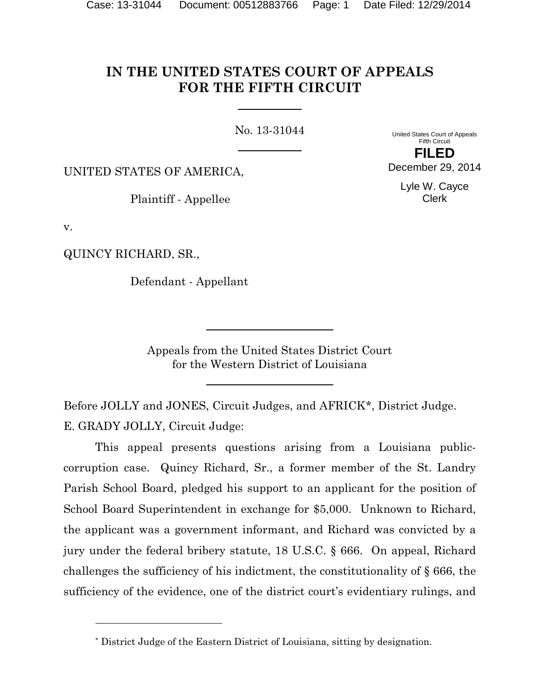# **IN THE UNITED STATES COURT OF APPEALS FOR THE FIFTH CIRCUIT**

No. 13-31044

United States Court of Appeals Fifth Circuit **FILED**

December 29, 2014

UNITED STATES OF AMERICA,

Plaintiff - Appellee

Lyle W. Cayce Clerk

v.

QUINCY RICHARD, SR.,

l

Defendant - Appellant

Appeals from the United States District Court for the Western District of Louisiana

Before JOLLY and JONES, Circuit Judges, and AFRICK[\\*](#page-0-0), District Judge. E. GRADY JOLLY, Circuit Judge:

This appeal presents questions arising from a Louisiana publiccorruption case. Quincy Richard, Sr., a former member of the St. Landry Parish School Board, pledged his support to an applicant for the position of School Board Superintendent in exchange for \$5,000. Unknown to Richard, the applicant was a government informant, and Richard was convicted by a jury under the federal bribery statute, 18 U.S.C. § 666. On appeal, Richard challenges the sufficiency of his indictment, the constitutionality of § 666, the sufficiency of the evidence, one of the district court's evidentiary rulings, and

<span id="page-0-0"></span><sup>\*</sup> District Judge of the Eastern District of Louisiana, sitting by designation.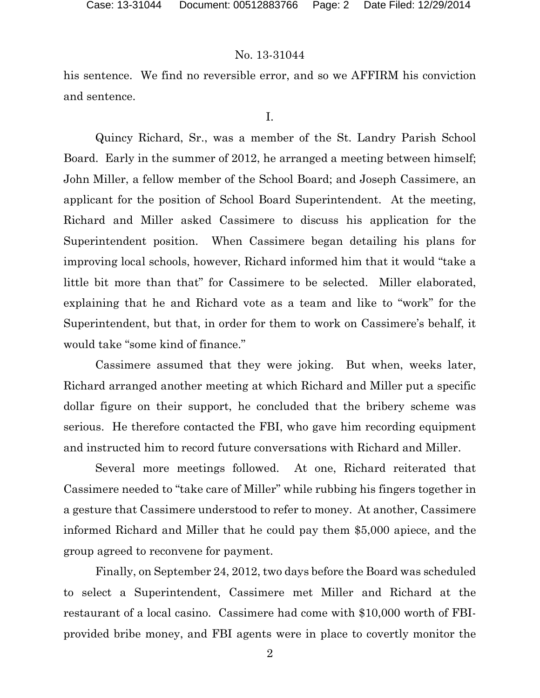his sentence. We find no reversible error, and so we AFFIRM his conviction and sentence.

I.

Quincy Richard, Sr., was a member of the St. Landry Parish School Board. Early in the summer of 2012, he arranged a meeting between himself; John Miller, a fellow member of the School Board; and Joseph Cassimere, an applicant for the position of School Board Superintendent. At the meeting, Richard and Miller asked Cassimere to discuss his application for the Superintendent position. When Cassimere began detailing his plans for improving local schools, however, Richard informed him that it would "take a little bit more than that" for Cassimere to be selected. Miller elaborated, explaining that he and Richard vote as a team and like to "work" for the Superintendent, but that, in order for them to work on Cassimere's behalf, it would take "some kind of finance."

Cassimere assumed that they were joking. But when, weeks later, Richard arranged another meeting at which Richard and Miller put a specific dollar figure on their support, he concluded that the bribery scheme was serious. He therefore contacted the FBI, who gave him recording equipment and instructed him to record future conversations with Richard and Miller.

Several more meetings followed. At one, Richard reiterated that Cassimere needed to "take care of Miller" while rubbing his fingers together in a gesture that Cassimere understood to refer to money. At another, Cassimere informed Richard and Miller that he could pay them \$5,000 apiece, and the group agreed to reconvene for payment.

Finally, on September 24, 2012, two days before the Board was scheduled to select a Superintendent, Cassimere met Miller and Richard at the restaurant of a local casino. Cassimere had come with \$10,000 worth of FBIprovided bribe money, and FBI agents were in place to covertly monitor the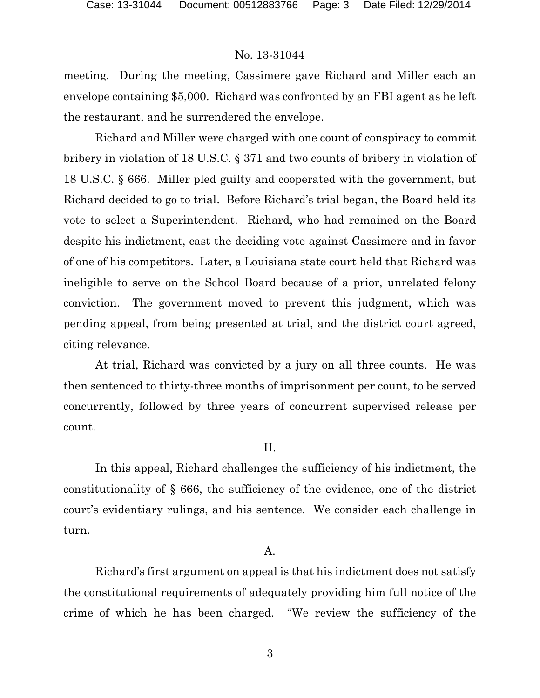meeting. During the meeting, Cassimere gave Richard and Miller each an envelope containing \$5,000. Richard was confronted by an FBI agent as he left the restaurant, and he surrendered the envelope.

Richard and Miller were charged with one count of conspiracy to commit bribery in violation of 18 U.S.C. § 371 and two counts of bribery in violation of 18 U.S.C. § 666. Miller pled guilty and cooperated with the government, but Richard decided to go to trial. Before Richard's trial began, the Board held its vote to select a Superintendent. Richard, who had remained on the Board despite his indictment, cast the deciding vote against Cassimere and in favor of one of his competitors. Later, a Louisiana state court held that Richard was ineligible to serve on the School Board because of a prior, unrelated felony conviction. The government moved to prevent this judgment, which was pending appeal, from being presented at trial, and the district court agreed, citing relevance.

At trial, Richard was convicted by a jury on all three counts. He was then sentenced to thirty-three months of imprisonment per count, to be served concurrently, followed by three years of concurrent supervised release per count.

# II.

In this appeal, Richard challenges the sufficiency of his indictment, the constitutionality of § 666, the sufficiency of the evidence, one of the district court's evidentiary rulings, and his sentence. We consider each challenge in turn.

# A.

Richard's first argument on appeal is that his indictment does not satisfy the constitutional requirements of adequately providing him full notice of the crime of which he has been charged. "We review the sufficiency of the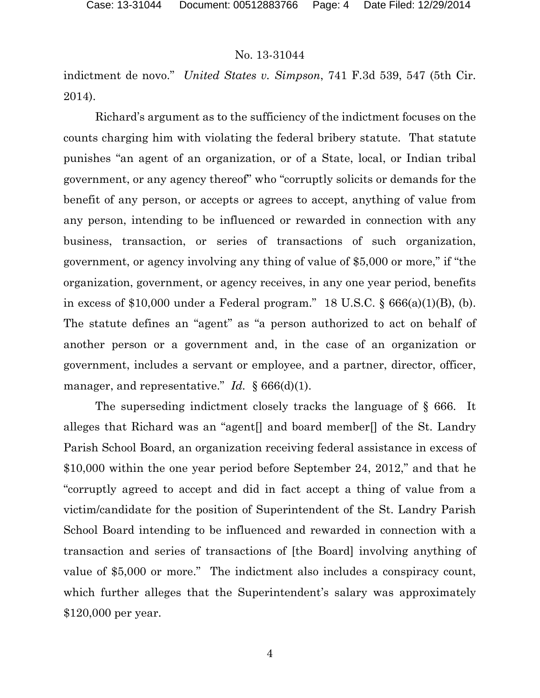indictment de novo." *United States v. Simpson*, 741 F.3d 539, 547 (5th Cir. 2014).

Richard's argument as to the sufficiency of the indictment focuses on the counts charging him with violating the federal bribery statute. That statute punishes "an agent of an organization, or of a State, local, or Indian tribal government, or any agency thereof" who "corruptly solicits or demands for the benefit of any person, or accepts or agrees to accept, anything of value from any person, intending to be influenced or rewarded in connection with any business, transaction, or series of transactions of such organization, government, or agency involving any thing of value of \$5,000 or more," if "the organization, government, or agency receives, in any one year period, benefits in excess of  $$10,000$  under a Federal program." 18 U.S.C.  $§$  666(a)(1)(B), (b). The statute defines an "agent" as "a person authorized to act on behalf of another person or a government and, in the case of an organization or government, includes a servant or employee, and a partner, director, officer, manager, and representative." *Id.* § 666(d)(1).

The superseding indictment closely tracks the language of § 666. It alleges that Richard was an "agent[] and board member[] of the St. Landry Parish School Board, an organization receiving federal assistance in excess of \$10,000 within the one year period before September 24, 2012," and that he "corruptly agreed to accept and did in fact accept a thing of value from a victim/candidate for the position of Superintendent of the St. Landry Parish School Board intending to be influenced and rewarded in connection with a transaction and series of transactions of [the Board] involving anything of value of \$5,000 or more." The indictment also includes a conspiracy count, which further alleges that the Superintendent's salary was approximately \$120,000 per year.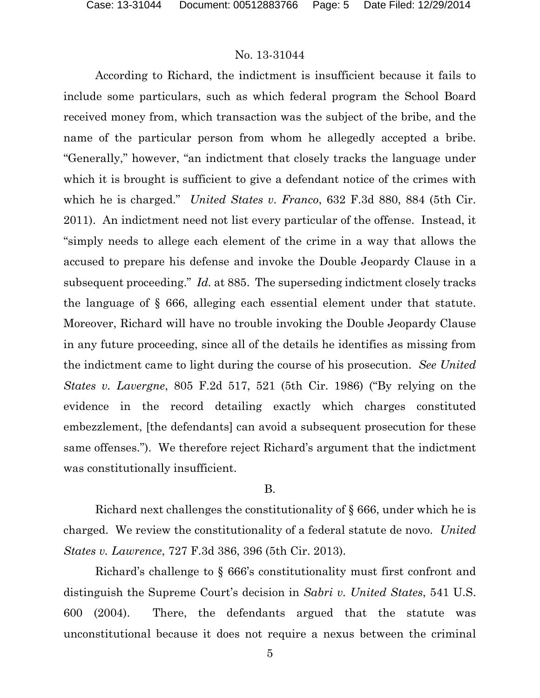According to Richard, the indictment is insufficient because it fails to include some particulars, such as which federal program the School Board received money from, which transaction was the subject of the bribe, and the name of the particular person from whom he allegedly accepted a bribe. "Generally," however, "an indictment that closely tracks the language under which it is brought is sufficient to give a defendant notice of the crimes with which he is charged." *United States v. Franco*, 632 F.3d 880, 884 (5th Cir. 2011). An indictment need not list every particular of the offense. Instead, it "simply needs to allege each element of the crime in a way that allows the accused to prepare his defense and invoke the Double Jeopardy Clause in a subsequent proceeding." *Id.* at 885. The superseding indictment closely tracks the language of § 666, alleging each essential element under that statute. Moreover, Richard will have no trouble invoking the Double Jeopardy Clause in any future proceeding, since all of the details he identifies as missing from the indictment came to light during the course of his prosecution. *See United States v. Lavergne*, 805 F.2d 517, 521 (5th Cir. 1986) ("By relying on the evidence in the record detailing exactly which charges constituted embezzlement, [the defendants] can avoid a subsequent prosecution for these same offenses."). We therefore reject Richard's argument that the indictment was constitutionally insufficient.

### B.

Richard next challenges the constitutionality of § 666, under which he is charged. We review the constitutionality of a federal statute de novo. *United States v. Lawrence*, 727 F.3d 386, 396 (5th Cir. 2013).

Richard's challenge to § 666's constitutionality must first confront and distinguish the Supreme Court's decision in *Sabri v. United States*, 541 U.S. 600 (2004). There, the defendants argued that the statute was unconstitutional because it does not require a nexus between the criminal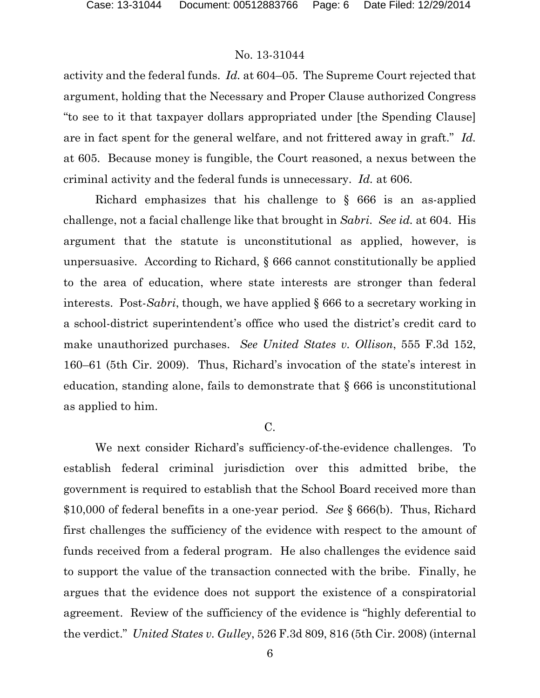activity and the federal funds. *Id.* at 604–05. The Supreme Court rejected that argument, holding that the Necessary and Proper Clause authorized Congress "to see to it that taxpayer dollars appropriated under [the Spending Clause] are in fact spent for the general welfare, and not frittered away in graft." *Id.* at 605. Because money is fungible, the Court reasoned, a nexus between the criminal activity and the federal funds is unnecessary. *Id.* at 606.

Richard emphasizes that his challenge to § 666 is an as-applied challenge, not a facial challenge like that brought in *Sabri*. *See id.* at 604. His argument that the statute is unconstitutional as applied, however, is unpersuasive. According to Richard, § 666 cannot constitutionally be applied to the area of education, where state interests are stronger than federal interests. Post-*Sabri*, though, we have applied § 666 to a secretary working in a school-district superintendent's office who used the district's credit card to make unauthorized purchases. *See United States v. Ollison*, 555 F.3d 152, 160–61 (5th Cir. 2009). Thus, Richard's invocation of the state's interest in education, standing alone, fails to demonstrate that § 666 is unconstitutional as applied to him.

# C.

We next consider Richard's sufficiency-of-the-evidence challenges. To establish federal criminal jurisdiction over this admitted bribe, the government is required to establish that the School Board received more than \$10,000 of federal benefits in a one-year period. *See* § 666(b). Thus, Richard first challenges the sufficiency of the evidence with respect to the amount of funds received from a federal program. He also challenges the evidence said to support the value of the transaction connected with the bribe. Finally, he argues that the evidence does not support the existence of a conspiratorial agreement. Review of the sufficiency of the evidence is "highly deferential to the verdict." *United States v. Gulley*, 526 F.3d 809, 816 (5th Cir. 2008) (internal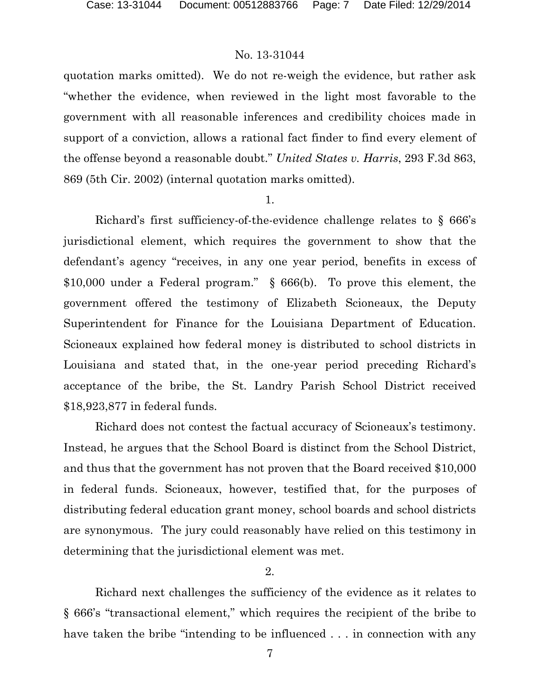quotation marks omitted). We do not re-weigh the evidence, but rather ask "whether the evidence, when reviewed in the light most favorable to the government with all reasonable inferences and credibility choices made in support of a conviction, allows a rational fact finder to find every element of the offense beyond a reasonable doubt." *United States v. Harris*, 293 F.3d 863, 869 (5th Cir. 2002) (internal quotation marks omitted).

1.

Richard's first sufficiency-of-the-evidence challenge relates to § 666's jurisdictional element, which requires the government to show that the defendant's agency "receives, in any one year period, benefits in excess of \$10,000 under a Federal program." § 666(b). To prove this element, the government offered the testimony of Elizabeth Scioneaux, the Deputy Superintendent for Finance for the Louisiana Department of Education. Scioneaux explained how federal money is distributed to school districts in Louisiana and stated that, in the one-year period preceding Richard's acceptance of the bribe, the St. Landry Parish School District received \$18,923,877 in federal funds.

Richard does not contest the factual accuracy of Scioneaux's testimony. Instead, he argues that the School Board is distinct from the School District, and thus that the government has not proven that the Board received \$10,000 in federal funds. Scioneaux, however, testified that, for the purposes of distributing federal education grant money, school boards and school districts are synonymous. The jury could reasonably have relied on this testimony in determining that the jurisdictional element was met.

2.

Richard next challenges the sufficiency of the evidence as it relates to § 666's "transactional element," which requires the recipient of the bribe to have taken the bribe "intending to be influenced . . . in connection with any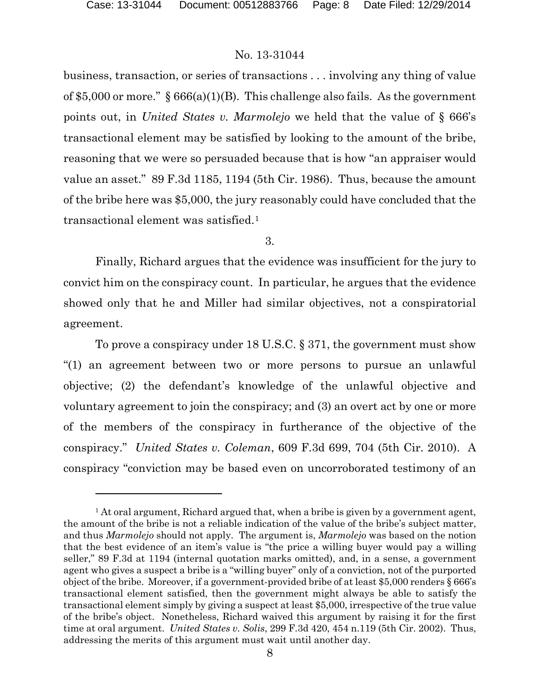$\overline{a}$ 

# No. 13-31044

business, transaction, or series of transactions . . . involving any thing of value of \$5,000 or more."  $\S 666(a)(1)(B)$ . This challenge also fails. As the government points out, in *United States v. Marmolejo* we held that the value of § 666's transactional element may be satisfied by looking to the amount of the bribe, reasoning that we were so persuaded because that is how "an appraiser would value an asset." 89 F.3d 1185, 1194 (5th Cir. 1986). Thus, because the amount of the bribe here was \$5,000, the jury reasonably could have concluded that the transactional element was satisfied.[1](#page-7-0) 

3.

Finally, Richard argues that the evidence was insufficient for the jury to convict him on the conspiracy count. In particular, he argues that the evidence showed only that he and Miller had similar objectives, not a conspiratorial agreement.

To prove a conspiracy under 18 U.S.C. § 371, the government must show "(1) an agreement between two or more persons to pursue an unlawful objective; (2) the defendant's knowledge of the unlawful objective and voluntary agreement to join the conspiracy; and (3) an overt act by one or more of the members of the conspiracy in furtherance of the objective of the conspiracy." *United States v. Coleman*, 609 F.3d 699, 704 (5th Cir. 2010). A conspiracy "conviction may be based even on uncorroborated testimony of an

<span id="page-7-0"></span> $<sup>1</sup>$  At oral argument, Richard argued that, when a bribe is given by a government agent,</sup> the amount of the bribe is not a reliable indication of the value of the bribe's subject matter, and thus *Marmolejo* should not apply. The argument is, *Marmolejo* was based on the notion that the best evidence of an item's value is "the price a willing buyer would pay a willing seller," 89 F.3d at 1194 (internal quotation marks omitted), and, in a sense, a government agent who gives a suspect a bribe is a "willing buyer" only of a conviction, not of the purported object of the bribe. Moreover, if a government-provided bribe of at least \$5,000 renders § 666's transactional element satisfied, then the government might always be able to satisfy the transactional element simply by giving a suspect at least \$5,000, irrespective of the true value of the bribe's object. Nonetheless, Richard waived this argument by raising it for the first time at oral argument. *United States v. Solis*, 299 F.3d 420, 454 n.119 (5th Cir. 2002). Thus, addressing the merits of this argument must wait until another day.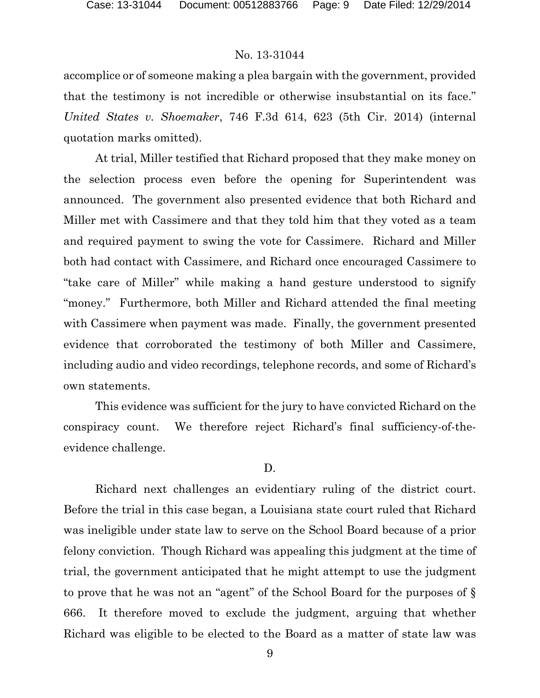accomplice or of someone making a plea bargain with the government, provided that the testimony is not incredible or otherwise insubstantial on its face." *United States v. Shoemaker*, 746 F.3d 614, 623 (5th Cir. 2014) (internal quotation marks omitted).

At trial, Miller testified that Richard proposed that they make money on the selection process even before the opening for Superintendent was announced. The government also presented evidence that both Richard and Miller met with Cassimere and that they told him that they voted as a team and required payment to swing the vote for Cassimere. Richard and Miller both had contact with Cassimere, and Richard once encouraged Cassimere to "take care of Miller" while making a hand gesture understood to signify "money." Furthermore, both Miller and Richard attended the final meeting with Cassimere when payment was made. Finally, the government presented evidence that corroborated the testimony of both Miller and Cassimere, including audio and video recordings, telephone records, and some of Richard's own statements.

This evidence was sufficient for the jury to have convicted Richard on the conspiracy count. We therefore reject Richard's final sufficiency-of-theevidence challenge.

#### D.

Richard next challenges an evidentiary ruling of the district court. Before the trial in this case began, a Louisiana state court ruled that Richard was ineligible under state law to serve on the School Board because of a prior felony conviction. Though Richard was appealing this judgment at the time of trial, the government anticipated that he might attempt to use the judgment to prove that he was not an "agent" of the School Board for the purposes of § 666. It therefore moved to exclude the judgment, arguing that whether Richard was eligible to be elected to the Board as a matter of state law was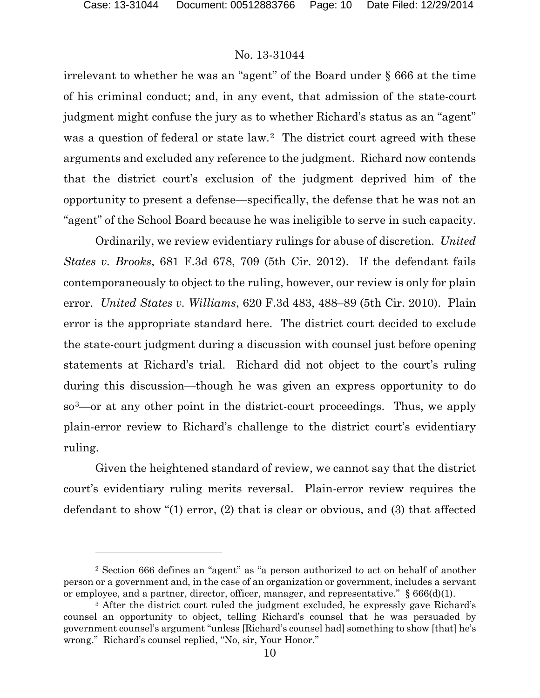$\overline{a}$ 

# No. 13-31044

irrelevant to whether he was an "agent" of the Board under § 666 at the time of his criminal conduct; and, in any event, that admission of the state-court judgment might confuse the jury as to whether Richard's status as an "agent" was a question of federal or state law.[2](#page-9-0) The district court agreed with these arguments and excluded any reference to the judgment. Richard now contends that the district court's exclusion of the judgment deprived him of the opportunity to present a defense—specifically, the defense that he was not an "agent" of the School Board because he was ineligible to serve in such capacity.

Ordinarily, we review evidentiary rulings for abuse of discretion. *United States v. Brooks*, 681 F.3d 678, 709 (5th Cir. 2012). If the defendant fails contemporaneously to object to the ruling, however, our review is only for plain error. *United States v. Williams*, 620 F.3d 483, 488–89 (5th Cir. 2010). Plain error is the appropriate standard here. The district court decided to exclude the state-court judgment during a discussion with counsel just before opening statements at Richard's trial. Richard did not object to the court's ruling during this discussion—though he was given an express opportunity to do so[3—](#page-9-1)or at any other point in the district-court proceedings. Thus, we apply plain-error review to Richard's challenge to the district court's evidentiary ruling.

Given the heightened standard of review, we cannot say that the district court's evidentiary ruling merits reversal. Plain-error review requires the defendant to show "(1) error, (2) that is clear or obvious, and (3) that affected

<span id="page-9-0"></span><sup>2</sup> Section 666 defines an "agent" as "a person authorized to act on behalf of another person or a government and, in the case of an organization or government, includes a servant or employee, and a partner, director, officer, manager, and representative."  $\S 666(d)(1)$ .

<span id="page-9-1"></span><sup>&</sup>lt;sup>3</sup> After the district court ruled the judgment excluded, he expressly gave Richard's counsel an opportunity to object, telling Richard's counsel that he was persuaded by government counsel's argument "unless [Richard's counsel had] something to show [that] he's wrong." Richard's counsel replied, "No, sir, Your Honor."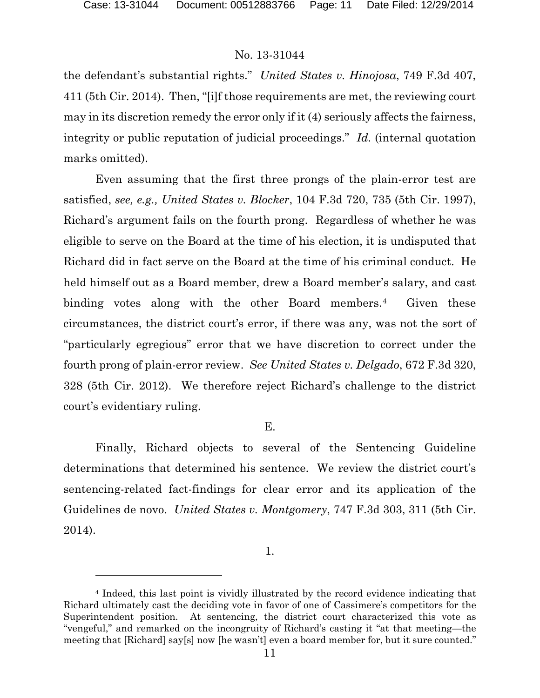l

# No. 13-31044

the defendant's substantial rights." *United States v. Hinojosa*, 749 F.3d 407, 411 (5th Cir. 2014). Then, "[i]f those requirements are met, the reviewing court may in its discretion remedy the error only if it (4) seriously affects the fairness, integrity or public reputation of judicial proceedings." *Id.* (internal quotation marks omitted).

Even assuming that the first three prongs of the plain-error test are satisfied, *see, e.g., United States v. Blocker*, 104 F.3d 720, 735 (5th Cir. 1997), Richard's argument fails on the fourth prong. Regardless of whether he was eligible to serve on the Board at the time of his election, it is undisputed that Richard did in fact serve on the Board at the time of his criminal conduct. He held himself out as a Board member, drew a Board member's salary, and cast binding votes along with the other Board members.<sup>4</sup> Given these circumstances, the district court's error, if there was any, was not the sort of "particularly egregious" error that we have discretion to correct under the fourth prong of plain-error review. *See United States v. Delgado*, 672 F.3d 320, 328 (5th Cir. 2012). We therefore reject Richard's challenge to the district court's evidentiary ruling.

# E.

Finally, Richard objects to several of the Sentencing Guideline determinations that determined his sentence. We review the district court's sentencing-related fact-findings for clear error and its application of the Guidelines de novo. *United States v. Montgomery*, 747 F.3d 303, 311 (5th Cir. 2014).

<sup>1.</sup>

<span id="page-10-0"></span><sup>4</sup> Indeed, this last point is vividly illustrated by the record evidence indicating that Richard ultimately cast the deciding vote in favor of one of Cassimere's competitors for the Superintendent position. At sentencing, the district court characterized this vote as "vengeful," and remarked on the incongruity of Richard's casting it "at that meeting—the meeting that [Richard] say[s] now [he wasn't] even a board member for, but it sure counted."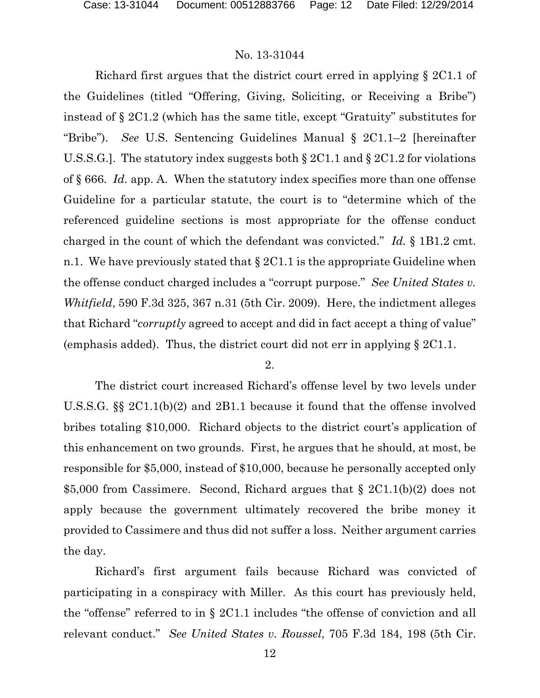Richard first argues that the district court erred in applying § 2C1.1 of the Guidelines (titled "Offering, Giving, Soliciting, or Receiving a Bribe") instead of § 2C1.2 (which has the same title, except "Gratuity" substitutes for "Bribe"). *See* U.S. Sentencing Guidelines Manual § 2C1.1–2 [hereinafter U.S.S.G.]. The statutory index suggests both § 2C1.1 and § 2C1.2 for violations of § 666. *Id.* app. A. When the statutory index specifies more than one offense Guideline for a particular statute, the court is to "determine which of the referenced guideline sections is most appropriate for the offense conduct charged in the count of which the defendant was convicted." *Id.* § 1B1.2 cmt. n.1. We have previously stated that  $\S 2C1.1$  is the appropriate Guideline when the offense conduct charged includes a "corrupt purpose." *See United States v. Whitfield*, 590 F.3d 325, 367 n.31 (5th Cir. 2009). Here, the indictment alleges that Richard "*corruptly* agreed to accept and did in fact accept a thing of value" (emphasis added). Thus, the district court did not err in applying § 2C1.1.

#### 2.

The district court increased Richard's offense level by two levels under U.S.S.G. §§ 2C1.1(b)(2) and 2B1.1 because it found that the offense involved bribes totaling \$10,000. Richard objects to the district court's application of this enhancement on two grounds. First, he argues that he should, at most, be responsible for \$5,000, instead of \$10,000, because he personally accepted only \$5,000 from Cassimere. Second, Richard argues that § 2C1.1(b)(2) does not apply because the government ultimately recovered the bribe money it provided to Cassimere and thus did not suffer a loss. Neither argument carries the day.

Richard's first argument fails because Richard was convicted of participating in a conspiracy with Miller. As this court has previously held, the "offense" referred to in § 2C1.1 includes "the offense of conviction and all relevant conduct." *See United States v. Roussel*, 705 F.3d 184, 198 (5th Cir.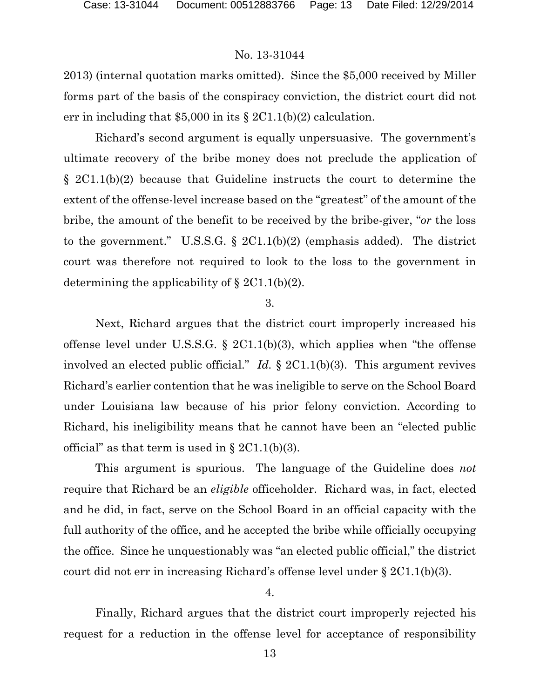2013) (internal quotation marks omitted). Since the \$5,000 received by Miller forms part of the basis of the conspiracy conviction, the district court did not err in including that  $$5,000$  in its  $$2C1.1(b)(2)$  calculation.

Richard's second argument is equally unpersuasive. The government's ultimate recovery of the bribe money does not preclude the application of § 2C1.1(b)(2) because that Guideline instructs the court to determine the extent of the offense-level increase based on the "greatest" of the amount of the bribe, the amount of the benefit to be received by the bribe-giver, "*or* the loss to the government." U.S.S.G. § 2C1.1(b)(2) (emphasis added). The district court was therefore not required to look to the loss to the government in determining the applicability of  $\S 2C1.1(b)(2)$ .

#### 3.

Next, Richard argues that the district court improperly increased his offense level under U.S.S.G.  $\S$  2C1.1(b)(3), which applies when "the offense involved an elected public official." *Id.* § 2C1.1(b)(3). This argument revives Richard's earlier contention that he was ineligible to serve on the School Board under Louisiana law because of his prior felony conviction. According to Richard, his ineligibility means that he cannot have been an "elected public official" as that term is used in  $\S 2C1.1(b)(3)$ .

This argument is spurious. The language of the Guideline does *not* require that Richard be an *eligible* officeholder. Richard was, in fact, elected and he did, in fact, serve on the School Board in an official capacity with the full authority of the office, and he accepted the bribe while officially occupying the office. Since he unquestionably was "an elected public official," the district court did not err in increasing Richard's offense level under § 2C1.1(b)(3).

### 4.

Finally, Richard argues that the district court improperly rejected his request for a reduction in the offense level for acceptance of responsibility